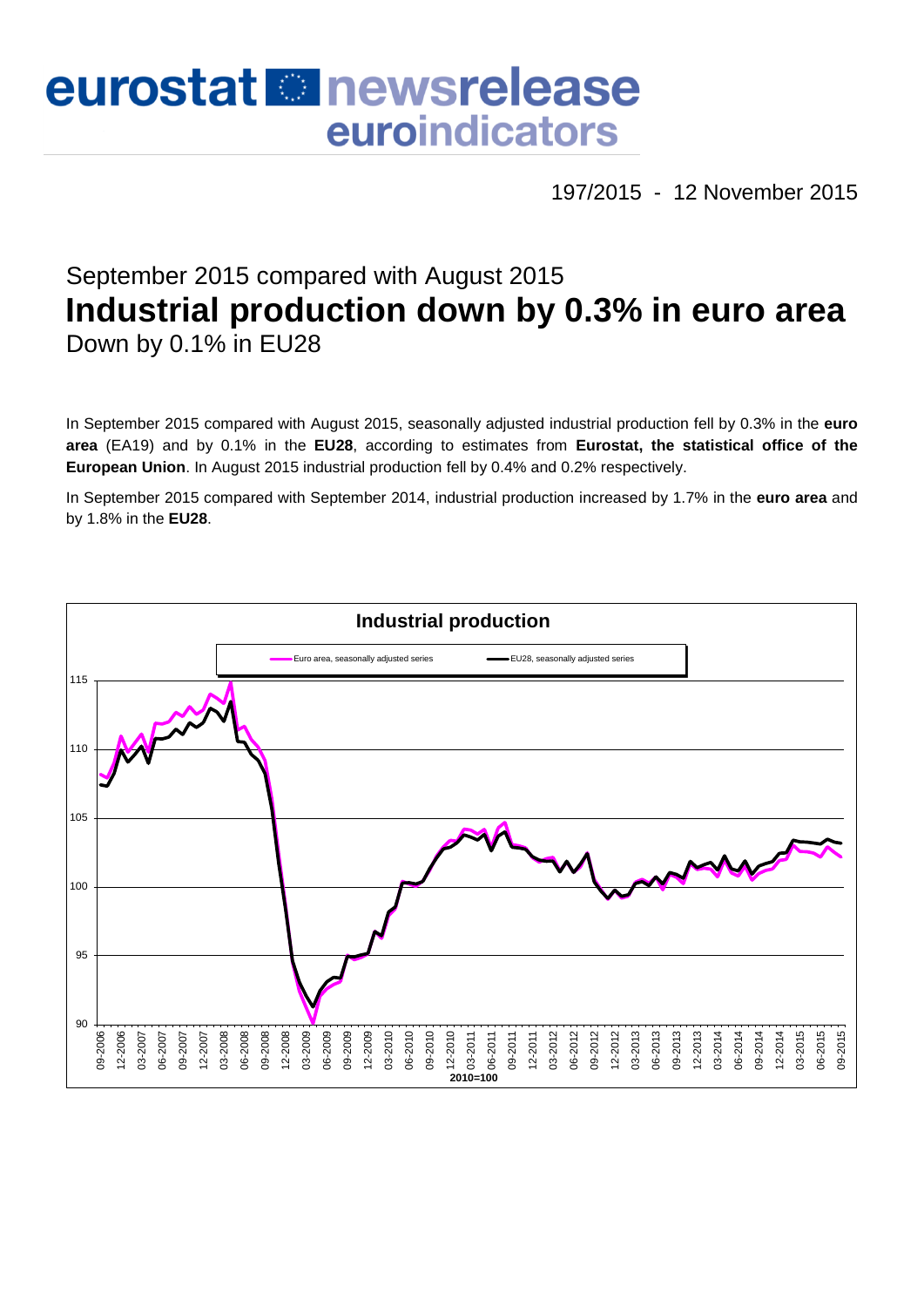# eurostat **E**newsrelease euroindicators

197/2015 - 12 November 2015

# September 2015 compared with August 2015 **Industrial production down by 0.3% in euro area** Down by 0.1% in EU28

In September 2015 compared with August 2015, seasonally adjusted industrial production fell by 0.3% in the **euro area** (EA19) and by 0.1% in the **EU28**, according to estimates from **Eurostat, the statistical office of the European Union**. In August 2015 industrial production fell by 0.4% and 0.2% respectively.

In September 2015 compared with September 2014, industrial production increased by 1.7% in the **euro area** and by 1.8% in the **EU28**.

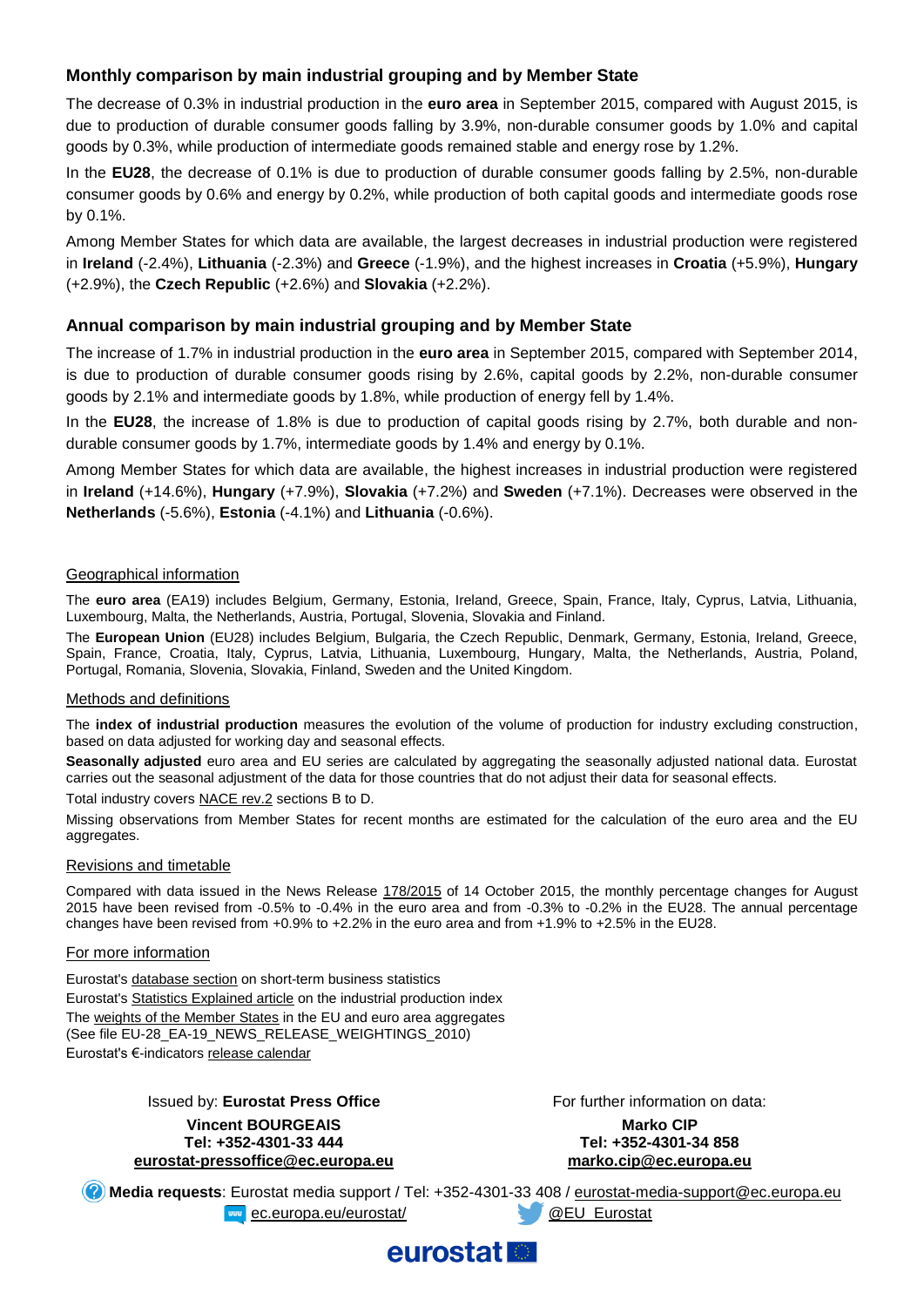# **Monthly comparison by main industrial grouping and by Member State**

The decrease of 0.3% in industrial production in the **euro area** in September 2015, compared with August 2015, is due to production of durable consumer goods falling by 3.9%, non-durable consumer goods by 1.0% and capital goods by 0.3%, while production of intermediate goods remained stable and energy rose by 1.2%.

In the **EU28**, the decrease of 0.1% is due to production of durable consumer goods falling by 2.5%, non-durable consumer goods by 0.6% and energy by 0.2%, while production of both capital goods and intermediate goods rose by 0.1%.

Among Member States for which data are available, the largest decreases in industrial production were registered in **Ireland** (-2.4%), **Lithuania** (-2.3%) and **Greece** (-1.9%), and the highest increases in **Croatia** (+5.9%), **Hungary** (+2.9%), the **Czech Republic** (+2.6%) and **Slovakia** (+2.2%).

### **Annual comparison by main industrial grouping and by Member State**

The increase of 1.7% in industrial production in the **euro area** in September 2015, compared with September 2014, is due to production of durable consumer goods rising by 2.6%, capital goods by 2.2%, non-durable consumer goods by 2.1% and intermediate goods by 1.8%, while production of energy fell by 1.4%.

In the **EU28**, the increase of 1.8% is due to production of capital goods rising by 2.7%, both durable and nondurable consumer goods by 1.7%, intermediate goods by 1.4% and energy by 0.1%.

Among Member States for which data are available, the highest increases in industrial production were registered in **Ireland** (+14.6%), **Hungary** (+7.9%), **Slovakia** (+7.2%) and **Sweden** (+7.1%). Decreases were observed in the **Netherlands** (-5.6%), **Estonia** (-4.1%) and **Lithuania** (-0.6%).

#### Geographical information

The **euro area** (EA19) includes Belgium, Germany, Estonia, Ireland, Greece, Spain, France, Italy, Cyprus, Latvia, Lithuania, Luxembourg, Malta, the Netherlands, Austria, Portugal, Slovenia, Slovakia and Finland.

The **European Union** (EU28) includes Belgium, Bulgaria, the Czech Republic, Denmark, Germany, Estonia, Ireland, Greece, Spain, France, Croatia, Italy, Cyprus, Latvia, Lithuania, Luxembourg, Hungary, Malta, the Netherlands, Austria, Poland, Portugal, Romania, Slovenia, Slovakia, Finland, Sweden and the United Kingdom.

#### Methods and definitions

The **index of industrial production** measures the evolution of the volume of production for industry excluding construction, based on data adjusted for working day and seasonal effects.

**Seasonally adjusted** euro area and EU series are calculated by aggregating the seasonally adjusted national data. Eurostat carries out the seasonal adjustment of the data for those countries that do not adjust their data for seasonal effects.

Total industry covers [NACE rev.2](http://ec.europa.eu/eurostat/ramon/nomenclatures/index.cfm?TargetUrl=LST_NOM_DTL&StrNom=NACE_REV2&StrLanguageCode=EN&IntPcKey=&StrLayoutCode=HIERARCHIC) sections B to D.

Missing observations from Member States for recent months are estimated for the calculation of the euro area and the EU aggregates.

#### Revisions and timetable

Compared with data issued in the News Release [178/2015](http://ec.europa.eu/eurostat/documents/2995521/7031292/4-14102015-AP-EN.pdf/a51eb8c2-d184-417a-8ccb-098b8976ad89) of 14 October 2015, the monthly percentage changes for August 2015 have been revised from -0.5% to -0.4% in the euro area and from -0.3% to -0.2% in the EU28. The annual percentage changes have been revised from +0.9% to +2.2% in the euro area and from +1.9% to +2.5% in the EU28.

#### For more information

Eurostat's [database section](http://ec.europa.eu/eurostat/web/short-term-business-statistics/data/database) on short-term business statistics Eurostat's [Statistics Explained article](http://ec.europa.eu/eurostat/statistics-explained/index.php/Industrial_production_(volume)_index_overview) on the industrial production index Th[e weights of the Member States](https://circabc.europa.eu/w/browse/5e6d1e48-056c-4c6a-8278-3ab138bcf575) in the EU and euro area aggregates (See file EU-28\_EA-19\_NEWS\_RELEASE\_WEIGHTINGS\_2010) Eurostat's €-indicators [release calendar](http://ec.europa.eu/eurostat/news/release-calendar)

> Issued by: **Eurostat Press Office Vincent BOURGEAIS Tel: +352-4301-33 444 [eurostat-pressoffice@ec.europa.eu](mailto:eurostat-pressoffice@ec.europa.eu)**

For further information on data:

**Marko CIP Tel: +352-4301-34 858 marko.cip@ec.europa.eu**

**Media requests**: Eurostat media support / Tel: +352-4301-33 408 / [eurostat-media-support@ec.europa.eu](mailto:eurostat-media-support@ec.europa.eu) [ec.europa.eu/eurostat/](http://ec.europa.eu/eurostat/) [@EU\\_Eurostat](http://twitter.com/EU_Eurostat)

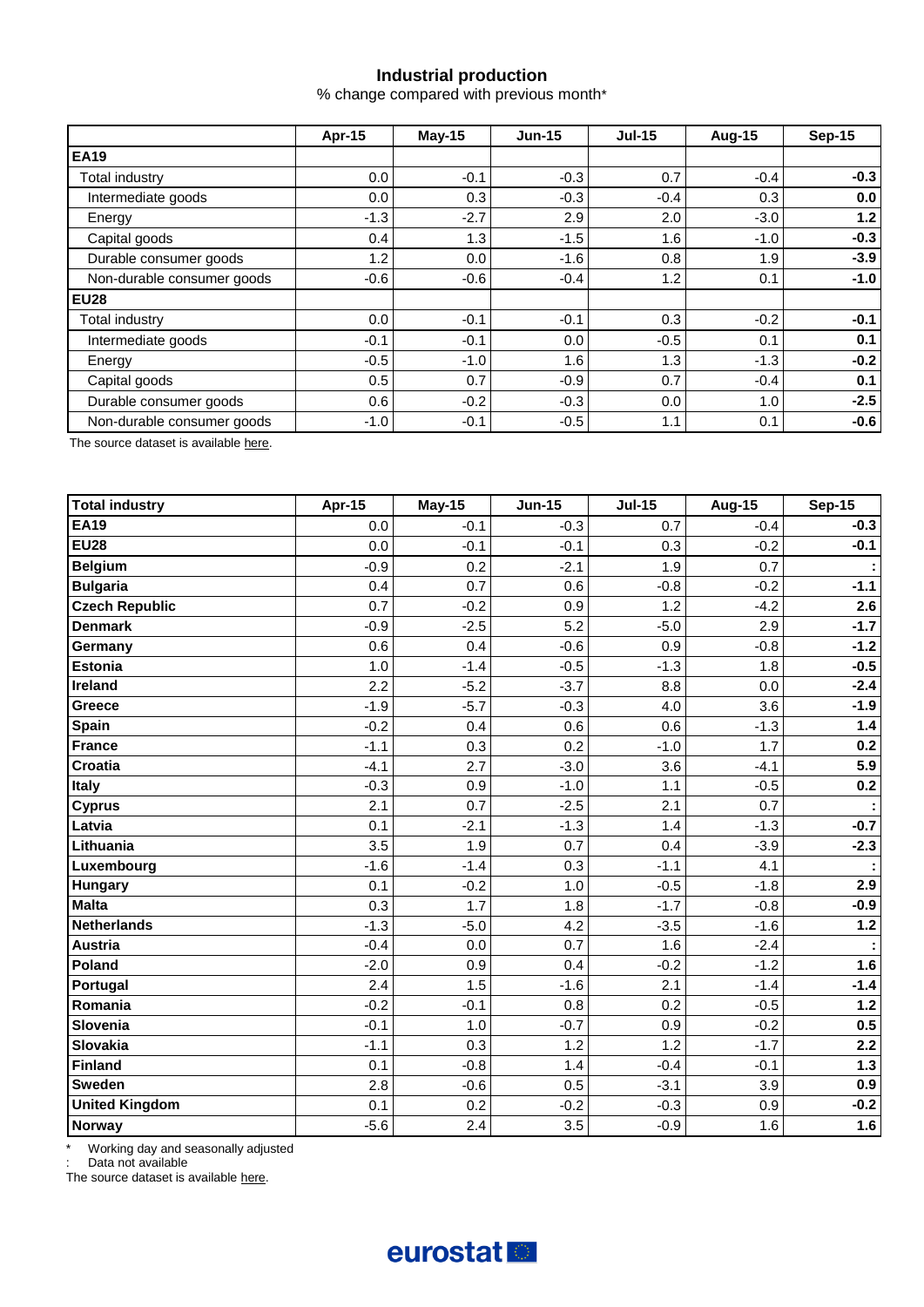# **Industrial production**

% change compared with previous month\*

|                            | Apr-15  | $May-15$ | $Jun-15$ | <b>Jul-15</b> | <b>Aug-15</b> | <b>Sep-15</b> |  |
|----------------------------|---------|----------|----------|---------------|---------------|---------------|--|
| <b>EA19</b>                |         |          |          |               |               |               |  |
| Total industry             | 0.0     | $-0.1$   | $-0.3$   | 0.7           | $-0.4$        | $-0.3$        |  |
| Intermediate goods         | $0.0\,$ | 0.3      | $-0.3$   | $-0.4$        | 0.3           | 0.0           |  |
| Energy                     | $-1.3$  | $-2.7$   | 2.9      | 2.0           | $-3.0$        | 1.2           |  |
| Capital goods              | 0.4     | 1.3      | $-1.5$   | 1.6           | $-1.0$        | $-0.3$        |  |
| Durable consumer goods     | 1.2     | 0.0      | $-1.6$   | 0.8           | 1.9           | $-3.9$        |  |
| Non-durable consumer goods | $-0.6$  | $-0.6$   | $-0.4$   | 1.2           | 0.1           | $-1.0$        |  |
| <b>EU28</b>                |         |          |          |               |               |               |  |
| Total industry             | 0.0     | $-0.1$   | $-0.1$   | 0.3           | $-0.2$        | $-0.1$        |  |
| Intermediate goods         | $-0.1$  | $-0.1$   | 0.0      | $-0.5$        | 0.1           | 0.1           |  |
| Energy                     | $-0.5$  | $-1.0$   | 1.6      | 1.3           | $-1.3$        | $-0.2$        |  |
| Capital goods              | 0.5     | 0.7      | $-0.9$   | 0.7           | $-0.4$        | 0.1           |  |
| Durable consumer goods     | 0.6     | $-0.2$   | $-0.3$   | 0.0           | 1.0           | $-2.5$        |  |
| Non-durable consumer goods | $-1.0$  | $-0.1$   | $-0.5$   | 1.1           | 0.1           | $-0.6$        |  |

The source dataset is availabl[e here.](http://appsso.eurostat.ec.europa.eu/nui/show.do?query=BOOKMARK_DS-069601_QID_2B77704D_UID_-3F171EB0&layout=TIME,C,X,0;GEO,L,Y,0;NACE_R2,L,Y,1;INDIC_BT,L,Z,0;S_ADJ,L,Z,1;UNIT,L,Z,2;INDICATORS,C,Z,3;&zSelection=DS-069601INDIC_BT,PROD;DS-069601UNIT,PCH_PRE;DS-069601INDICATORS,OBS_FLAG;DS-069601S_ADJ,SWDA;&rankName1=UNIT_1_2_-1_2&rankName2=INDIC-BT_1_2_-1_2&rankName3=INDICATORS_1_2_-1_2&rankName4=S-ADJ_1_2_-1_2&rankName5=TIME_1_0_0_0&rankName6=GEO_1_2_0_1&rankName7=NACE-R2_1_2_1_1&sortC=ASC_-1_FIRST&rStp=&cStp=&rDCh=&cDCh=&rDM=true&cDM=true&footnes=false&empty=false&wai=false&time_mode=ROLLING&time_most_recent=true&lang=EN&cfo=%23%23%23%2C%23%23%23.%23%23%23)

| <b>Total industry</b> | Apr-15 | <b>May-15</b> | <b>Jun-15</b> | <b>Jul-15</b> | <b>Aug-15</b> | <b>Sep-15</b> |
|-----------------------|--------|---------------|---------------|---------------|---------------|---------------|
| <b>EA19</b>           | 0.0    | $-0.1$        | $-0.3$        | 0.7           | $-0.4$        | $-0.3$        |
| <b>EU28</b>           | 0.0    | $-0.1$        | $-0.1$        | 0.3           | $-0.2$        | $-0.1$        |
| <b>Belgium</b>        | $-0.9$ | 0.2           | $-2.1$        | 1.9           | 0.7           |               |
| <b>Bulgaria</b>       | 0.4    | 0.7           | 0.6           | $-0.8$        | $-0.2$        | $-1.1$        |
| <b>Czech Republic</b> | 0.7    | $-0.2$        | 0.9           | 1.2           | $-4.2$        | 2.6           |
| <b>Denmark</b>        | $-0.9$ | $-2.5$        | 5.2           | $-5.0$        | 2.9           | $-1.7$        |
| Germany               | 0.6    | 0.4           | $-0.6$        | 0.9           | $-0.8$        | $-1.2$        |
| <b>Estonia</b>        | 1.0    | $-1.4$        | $-0.5$        | $-1.3$        | 1.8           | $-0.5$        |
| Ireland               | 2.2    | $-5.2$        | $-3.7$        | 8.8           | 0.0           | $-2.4$        |
| Greece                | $-1.9$ | $-5.7$        | $-0.3$        | 4.0           | 3.6           | $-1.9$        |
| <b>Spain</b>          | $-0.2$ | 0.4           | 0.6           | 0.6           | $-1.3$        | $1.4$         |
| <b>France</b>         | $-1.1$ | 0.3           | 0.2           | $-1.0$        | 1.7           | 0.2           |
| Croatia               | $-4.1$ | 2.7           | $-3.0$        | 3.6           | $-4.1$        | 5.9           |
| <b>Italy</b>          | $-0.3$ | 0.9           | $-1.0$        | 1.1           | $-0.5$        | 0.2           |
| <b>Cyprus</b>         | 2.1    | 0.7           | $-2.5$        | 2.1           | 0.7           |               |
| Latvia                | 0.1    | $-2.1$        | $-1.3$        | 1.4           | $-1.3$        | $-0.7$        |
| Lithuania             | 3.5    | 1.9           | 0.7           | 0.4           | $-3.9$        | $-2.3$        |
| Luxembourg            | $-1.6$ | $-1.4$        | 0.3           | $-1.1$        | 4.1           |               |
| <b>Hungary</b>        | 0.1    | $-0.2$        | 1.0           | $-0.5$        | $-1.8$        | 2.9           |
| <b>Malta</b>          | 0.3    | 1.7           | 1.8           | $-1.7$        | $-0.8$        | $-0.9$        |
| <b>Netherlands</b>    | $-1.3$ | $-5.0$        | 4.2           | $-3.5$        | $-1.6$        | $1.2$         |
| <b>Austria</b>        | $-0.4$ | 0.0           | 0.7           | 1.6           | $-2.4$        |               |
| Poland                | $-2.0$ | 0.9           | 0.4           | $-0.2$        | $-1.2$        | 1.6           |
| Portugal              | 2.4    | 1.5           | $-1.6$        | 2.1           | $-1.4$        | $-1.4$        |
| Romania               | $-0.2$ | $-0.1$        | 0.8           | 0.2           | $-0.5$        | $1.2$         |
| Slovenia              | $-0.1$ | 1.0           | $-0.7$        | 0.9           | $-0.2$        | 0.5           |
| <b>Slovakia</b>       | $-1.1$ | 0.3           | 1.2           | 1.2           | $-1.7$        | 2.2           |
| <b>Finland</b>        | 0.1    | $-0.8$        | 1.4           | $-0.4$        | $-0.1$        | $1.3$         |
| <b>Sweden</b>         | 2.8    | $-0.6$        | 0.5           | $-3.1$        | 3.9           | 0.9           |
| <b>United Kingdom</b> | 0.1    | 0.2           | $-0.2$        | $-0.3$        | 0.9           | $-0.2$        |
| <b>Norway</b>         | $-5.6$ | 2.4           | 3.5           | $-0.9$        | 1.6           | 1.6           |

\* Working day and seasonally adjusted

: Data not available

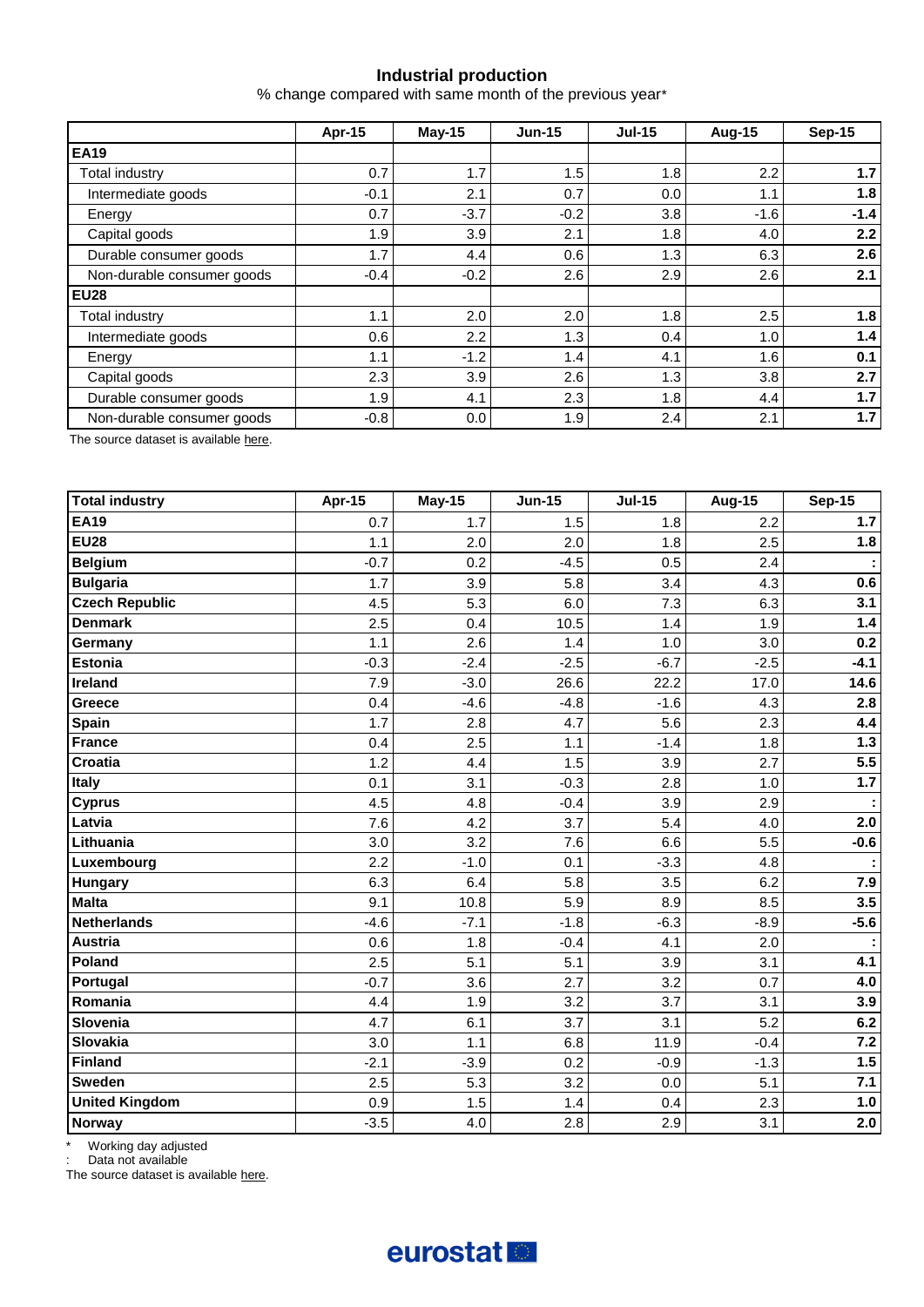# **Industrial production**

% change compared with same month of the previous year\*

|                            | <b>Apr-15</b> | <b>May-15</b> | $Jun-15$ | <b>Jul-15</b> | Aug-15 | <b>Sep-15</b> |
|----------------------------|---------------|---------------|----------|---------------|--------|---------------|
| <b>EA19</b>                |               |               |          |               |        |               |
| Total industry             | 0.7           | 1.7           | 1.5      | 1.8           | 2.2    | 1.7           |
| Intermediate goods         | $-0.1$        | 2.1           | 0.7      | 0.0           | 1.1    | 1.8           |
| Energy                     | 0.7           | $-3.7$        | $-0.2$   | 3.8           | $-1.6$ | $-1.4$        |
| Capital goods              | 1.9           | 3.9           | 2.1      | 1.8           | 4.0    | 2.2           |
| Durable consumer goods     | 1.7           | 4.4           | 0.6      | 1.3           | 6.3    | 2.6           |
| Non-durable consumer goods | $-0.4$        | $-0.2$        | $2.6\,$  | 2.9           | 2.6    | 2.1           |
| <b>EU28</b>                |               |               |          |               |        |               |
| Total industry             | 1.1           | 2.0           | 2.0      | 1.8           | 2.5    | 1.8           |
| Intermediate goods         | 0.6           | 2.2           | 1.3      | 0.4           | 1.0    | 1.4           |
| Energy                     | 1.1           | $-1.2$        | 1.4      | 4.1           | 1.6    | 0.1           |
| Capital goods              | 2.3           | 3.9           | 2.6      | 1.3           | 3.8    | 2.7           |
| Durable consumer goods     | 1.9           | 4.1           | 2.3      | 1.8           | 4.4    | 1.7           |
| Non-durable consumer goods | $-0.8$        | 0.0           | 1.9      | 2.4           | 2.1    | 1.7           |

The source dataset is availabl[e here.](http://appsso.eurostat.ec.europa.eu/nui/show.do?query=BOOKMARK_DS-069601_QID_-25C68083_UID_-3F171EB0&layout=TIME,C,X,0;GEO,L,Y,0;NACE_R2,L,Y,1;INDIC_BT,L,Z,0;S_ADJ,L,Z,1;UNIT,L,Z,2;INDICATORS,C,Z,3;&zSelection=DS-069601INDIC_BT,PROD;DS-069601UNIT,PCH_PRE;DS-069601INDICATORS,OBS_FLAG;DS-069601S_ADJ,SWDA;&rankName1=UNIT_1_2_-1_2&rankName2=INDIC-BT_1_2_-1_2&rankName3=INDICATORS_1_2_-1_2&rankName4=S-ADJ_1_2_-1_2&rankName5=TIME_1_0_0_0&rankName6=GEO_1_2_0_1&rankName7=NACE-R2_1_2_1_1&sortC=ASC_-1_FIRST&rStp=&cStp=&rDCh=&cDCh=&rDM=true&cDM=true&footnes=false&empty=false&wai=false&time_mode=ROLLING&time_most_recent=true&lang=EN&cfo=%23%23%23%2C%23%23%23.%23%23%23)

| <b>Total industry</b> | Apr-15 | <b>May-15</b> | <b>Jun-15</b> | <b>Jul-15</b> | <b>Aug-15</b> | <b>Sep-15</b> |
|-----------------------|--------|---------------|---------------|---------------|---------------|---------------|
| <b>EA19</b>           | 0.7    | 1.7           | 1.5           | 1.8           | 2.2           | 1.7           |
| <b>EU28</b>           | 1.1    | 2.0           | 2.0           | 1.8           | 2.5           | 1.8           |
| <b>Belgium</b>        | $-0.7$ | 0.2           | $-4.5$        | 0.5           | 2.4           |               |
| <b>Bulgaria</b>       | 1.7    | 3.9           | 5.8           | 3.4           | 4.3           | 0.6           |
| <b>Czech Republic</b> | 4.5    | 5.3           | 6.0           | 7.3           | 6.3           | 3.1           |
| <b>Denmark</b>        | 2.5    | 0.4           | 10.5          | 1.4           | 1.9           | $1.4$         |
| Germany               | 1.1    | 2.6           | 1.4           | 1.0           | 3.0           | 0.2           |
| <b>Estonia</b>        | $-0.3$ | $-2.4$        | $-2.5$        | $-6.7$        | $-2.5$        | $-4.1$        |
| Ireland               | 7.9    | $-3.0$        | 26.6          | 22.2          | 17.0          | 14.6          |
| Greece                | 0.4    | $-4.6$        | $-4.8$        | $-1.6$        | 4.3           | 2.8           |
| <b>Spain</b>          | 1.7    | 2.8           | 4.7           | 5.6           | 2.3           | 4.4           |
| France                | 0.4    | 2.5           | 1.1           | $-1.4$        | 1.8           | $1.3$         |
| <b>Croatia</b>        | 1.2    | 4.4           | 1.5           | 3.9           | 2.7           | 5.5           |
| <b>Italy</b>          | 0.1    | 3.1           | $-0.3$        | 2.8           | 1.0           | $1.7$         |
| <b>Cyprus</b>         | 4.5    | 4.8           | $-0.4$        | 3.9           | 2.9           | ÷             |
| Latvia                | 7.6    | 4.2           | 3.7           | 5.4           | 4.0           | 2.0           |
| Lithuania             | 3.0    | 3.2           | 7.6           | 6.6           | 5.5           | $-0.6$        |
| Luxembourg            | 2.2    | $-1.0$        | 0.1           | $-3.3$        | 4.8           |               |
| <b>Hungary</b>        | 6.3    | 6.4           | 5.8           | 3.5           | 6.2           | 7.9           |
| <b>Malta</b>          | 9.1    | 10.8          | 5.9           | 8.9           | 8.5           | 3.5           |
| <b>Netherlands</b>    | $-4.6$ | $-7.1$        | $-1.8$        | $-6.3$        | $-8.9$        | $-5.6$        |
| <b>Austria</b>        | 0.6    | 1.8           | $-0.4$        | 4.1           | 2.0           |               |
| Poland                | 2.5    | 5.1           | 5.1           | 3.9           | 3.1           | 4.1           |
| Portugal              | $-0.7$ | 3.6           | 2.7           | 3.2           | 0.7           | 4.0           |
| Romania               | 4.4    | 1.9           | 3.2           | 3.7           | 3.1           | 3.9           |
| Slovenia              | 4.7    | 6.1           | 3.7           | 3.1           | 5.2           | 6.2           |
| Slovakia              | 3.0    | 1.1           | 6.8           | 11.9          | $-0.4$        | 7.2           |
| Finland               | $-2.1$ | $-3.9$        | 0.2           | $-0.9$        | $-1.3$        | 1.5           |
| <b>Sweden</b>         | 2.5    | 5.3           | 3.2           | 0.0           | 5.1           | $7.1$         |
| <b>United Kingdom</b> | 0.9    | 1.5           | 1.4           | 0.4           | 2.3           | 1.0           |
| Norway                | $-3.5$ | 4.0           | 2.8           | 2.9           | 3.1           | 2.0           |

\* Working day adjusted

: Data not available

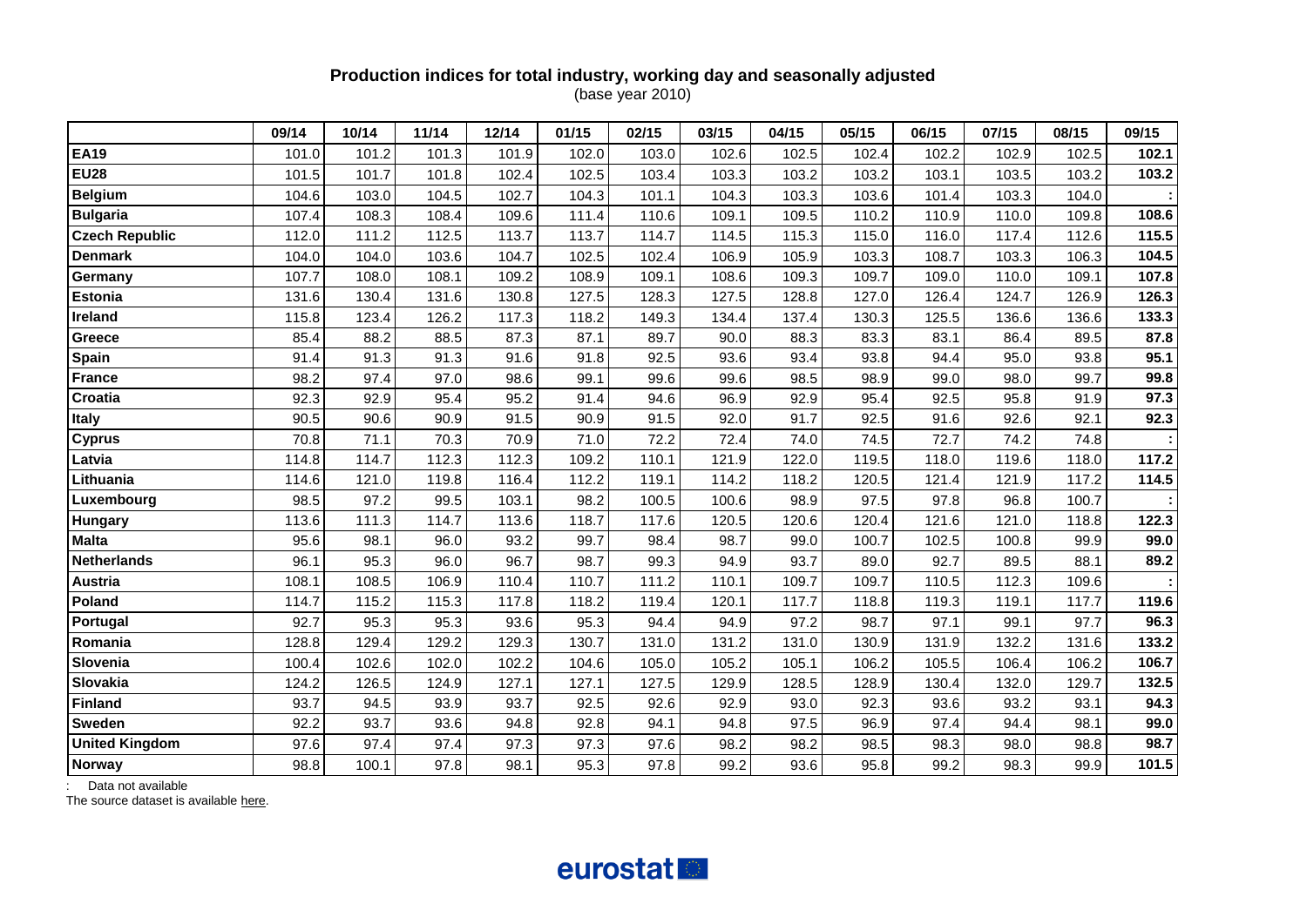#### **Production indices for total industry, working day and seasonally adjusted** (base year 2010)

|                       | 09/14 | 10/14 | 11/14 | 12/14 | 01/15 | 02/15 | 03/15 | 04/15 | 05/15 | 06/15 | 07/15 | 08/15 | 09/15 |
|-----------------------|-------|-------|-------|-------|-------|-------|-------|-------|-------|-------|-------|-------|-------|
| <b>EA19</b>           | 101.0 | 101.2 | 101.3 | 101.9 | 102.0 | 103.0 | 102.6 | 102.5 | 102.4 | 102.2 | 102.9 | 102.5 | 102.1 |
| <b>EU28</b>           | 101.5 | 101.7 | 101.8 | 102.4 | 102.5 | 103.4 | 103.3 | 103.2 | 103.2 | 103.1 | 103.5 | 103.2 | 103.2 |
| <b>Belgium</b>        | 104.6 | 103.0 | 104.5 | 102.7 | 104.3 | 101.1 | 104.3 | 103.3 | 103.6 | 101.4 | 103.3 | 104.0 |       |
| <b>Bulgaria</b>       | 107.4 | 108.3 | 108.4 | 109.6 | 111.4 | 110.6 | 109.1 | 109.5 | 110.2 | 110.9 | 110.0 | 109.8 | 108.6 |
| <b>Czech Republic</b> | 112.0 | 111.2 | 112.5 | 113.7 | 113.7 | 114.7 | 114.5 | 115.3 | 115.0 | 116.0 | 117.4 | 112.6 | 115.5 |
| <b>Denmark</b>        | 104.0 | 104.0 | 103.6 | 104.7 | 102.5 | 102.4 | 106.9 | 105.9 | 103.3 | 108.7 | 103.3 | 106.3 | 104.5 |
| Germany               | 107.7 | 108.0 | 108.1 | 109.2 | 108.9 | 109.1 | 108.6 | 109.3 | 109.7 | 109.0 | 110.0 | 109.1 | 107.8 |
| Estonia               | 131.6 | 130.4 | 131.6 | 130.8 | 127.5 | 128.3 | 127.5 | 128.8 | 127.0 | 126.4 | 124.7 | 126.9 | 126.3 |
| Ireland               | 115.8 | 123.4 | 126.2 | 117.3 | 118.2 | 149.3 | 134.4 | 137.4 | 130.3 | 125.5 | 136.6 | 136.6 | 133.3 |
| Greece                | 85.4  | 88.2  | 88.5  | 87.3  | 87.1  | 89.7  | 90.0  | 88.3  | 83.3  | 83.1  | 86.4  | 89.5  | 87.8  |
| Spain                 | 91.4  | 91.3  | 91.3  | 91.6  | 91.8  | 92.5  | 93.6  | 93.4  | 93.8  | 94.4  | 95.0  | 93.8  | 95.1  |
| <b>France</b>         | 98.2  | 97.4  | 97.0  | 98.6  | 99.1  | 99.6  | 99.6  | 98.5  | 98.9  | 99.0  | 98.0  | 99.7  | 99.8  |
| Croatia               | 92.3  | 92.9  | 95.4  | 95.2  | 91.4  | 94.6  | 96.9  | 92.9  | 95.4  | 92.5  | 95.8  | 91.9  | 97.3  |
| <b>Italy</b>          | 90.5  | 90.6  | 90.9  | 91.5  | 90.9  | 91.5  | 92.0  | 91.7  | 92.5  | 91.6  | 92.6  | 92.1  | 92.3  |
| <b>Cyprus</b>         | 70.8  | 71.1  | 70.3  | 70.9  | 71.0  | 72.2  | 72.4  | 74.0  | 74.5  | 72.7  | 74.2  | 74.8  |       |
| Latvia                | 114.8 | 114.7 | 112.3 | 112.3 | 109.2 | 110.1 | 121.9 | 122.0 | 119.5 | 118.0 | 119.6 | 118.0 | 117.2 |
| Lithuania             | 114.6 | 121.0 | 119.8 | 116.4 | 112.2 | 119.1 | 114.2 | 118.2 | 120.5 | 121.4 | 121.9 | 117.2 | 114.5 |
| Luxembourg            | 98.5  | 97.2  | 99.5  | 103.1 | 98.2  | 100.5 | 100.6 | 98.9  | 97.5  | 97.8  | 96.8  | 100.7 |       |
| <b>Hungary</b>        | 113.6 | 111.3 | 114.7 | 113.6 | 118.7 | 117.6 | 120.5 | 120.6 | 120.4 | 121.6 | 121.0 | 118.8 | 122.3 |
| <b>Malta</b>          | 95.6  | 98.1  | 96.0  | 93.2  | 99.7  | 98.4  | 98.7  | 99.0  | 100.7 | 102.5 | 100.8 | 99.9  | 99.0  |
| <b>Netherlands</b>    | 96.1  | 95.3  | 96.0  | 96.7  | 98.7  | 99.3  | 94.9  | 93.7  | 89.0  | 92.7  | 89.5  | 88.1  | 89.2  |
| <b>Austria</b>        | 108.1 | 108.5 | 106.9 | 110.4 | 110.7 | 111.2 | 110.1 | 109.7 | 109.7 | 110.5 | 112.3 | 109.6 |       |
| Poland                | 114.7 | 115.2 | 115.3 | 117.8 | 118.2 | 119.4 | 120.1 | 117.7 | 118.8 | 119.3 | 119.1 | 117.7 | 119.6 |
| Portugal              | 92.7  | 95.3  | 95.3  | 93.6  | 95.3  | 94.4  | 94.9  | 97.2  | 98.7  | 97.1  | 99.1  | 97.7  | 96.3  |
| Romania               | 128.8 | 129.4 | 129.2 | 129.3 | 130.7 | 131.0 | 131.2 | 131.0 | 130.9 | 131.9 | 132.2 | 131.6 | 133.2 |
| Slovenia              | 100.4 | 102.6 | 102.0 | 102.2 | 104.6 | 105.0 | 105.2 | 105.1 | 106.2 | 105.5 | 106.4 | 106.2 | 106.7 |
| Slovakia              | 124.2 | 126.5 | 124.9 | 127.1 | 127.1 | 127.5 | 129.9 | 128.5 | 128.9 | 130.4 | 132.0 | 129.7 | 132.5 |
| <b>Finland</b>        | 93.7  | 94.5  | 93.9  | 93.7  | 92.5  | 92.6  | 92.9  | 93.0  | 92.3  | 93.6  | 93.2  | 93.1  | 94.3  |
| <b>Sweden</b>         | 92.2  | 93.7  | 93.6  | 94.8  | 92.8  | 94.1  | 94.8  | 97.5  | 96.9  | 97.4  | 94.4  | 98.1  | 99.0  |
| <b>United Kingdom</b> | 97.6  | 97.4  | 97.4  | 97.3  | 97.3  | 97.6  | 98.2  | 98.2  | 98.5  | 98.3  | 98.0  | 98.8  | 98.7  |
| <b>Norway</b>         | 98.8  | 100.1 | 97.8  | 98.1  | 95.3  | 97.8  | 99.2  | 93.6  | 95.8  | 99.2  | 98.3  | 99.9  | 101.5 |

: Data not available